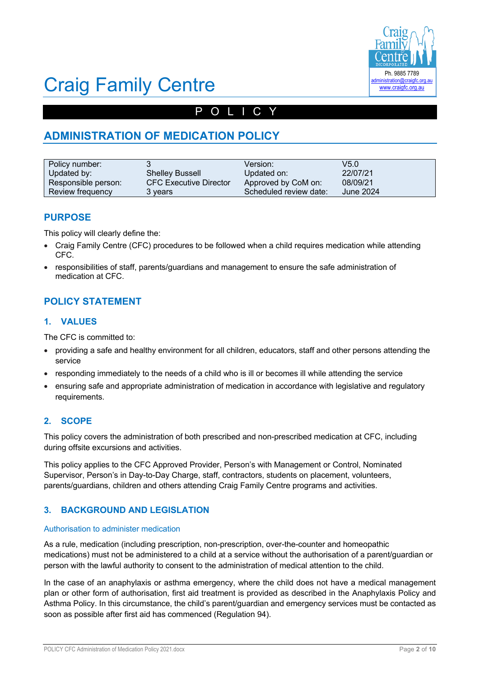

# Craig Family Centre

# POLICY

# **ADMINISTRATION OF MEDICATION POLICY**

| Policy number:      |                               | Version:               | V5.0      |
|---------------------|-------------------------------|------------------------|-----------|
| Updated by:         | <b>Shelley Bussell</b>        | Updated on:            | 22/07/21  |
| Responsible person: | <b>CFC Executive Director</b> | Approved by CoM on:    | 08/09/21  |
| Review frequency    | 3 vears                       | Scheduled review date: | June 2024 |

## **PURPOSE**

This policy will clearly define the:

- Craig Family Centre (CFC) procedures to be followed when a child requires medication while attending CFC.
- responsibilities of staff, parents/guardians and management to ensure the safe administration of medication at CFC.

## **POLICY STATEMENT**

#### **1. VALUES**

The CFC is committed to:

- providing a safe and healthy environment for all children, educators, staff and other persons attending the service
- responding immediately to the needs of a child who is ill or becomes ill while attending the service
- ensuring safe and appropriate administration of medication in accordance with legislative and regulatory requirements.

### **2. SCOPE**

This policy covers the administration of both prescribed and non-prescribed medication at CFC, including during offsite excursions and activities.

This policy applies to the CFC Approved Provider, Person's with Management or Control, Nominated Supervisor, Person's in Day-to-Day Charge, staff, contractors, students on placement, volunteers, parents/guardians, children and others attending Craig Family Centre programs and activities.

#### **3. BACKGROUND AND LEGISLATION**

#### Authorisation to administer medication

As a rule, medication (including prescription, non-prescription, over-the-counter and homeopathic medications) must not be administered to a child at a service without the authorisation of a parent/guardian or person with the lawful authority to consent to the administration of medical attention to the child.

In the case of an anaphylaxis or asthma emergency, where the child does not have a medical management plan or other form of authorisation, first aid treatment is provided as described in the Anaphylaxis Policy and Asthma Policy. In this circumstance, the child's parent/guardian and emergency services must be contacted as soon as possible after first aid has commenced (Regulation 94).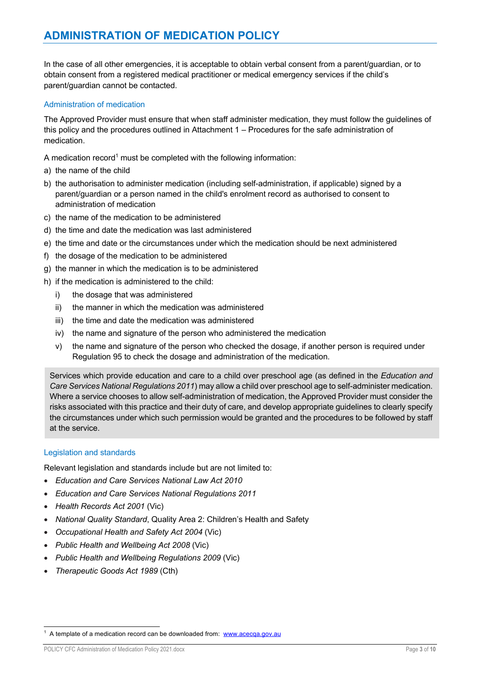In the case of all other emergencies, it is acceptable to obtain verbal consent from a parent/guardian, or to obtain consent from a registered medical practitioner or medical emergency services if the child's parent/guardian cannot be contacted.

#### Administration of medication

The Approved Provider must ensure that when staff administer medication, they must follow the guidelines of this policy and the procedures outlined in Attachment 1 – Procedures for the safe administration of medication.

A medication record<sup>1</sup> must be completed with the following information:

- a) the name of the child
- b) the authorisation to administer medication (including self-administration, if applicable) signed by a parent/guardian or a person named in the child's enrolment record as authorised to consent to administration of medication
- c) the name of the medication to be administered
- d) the time and date the medication was last administered
- e) the time and date or the circumstances under which the medication should be next administered
- f) the dosage of the medication to be administered
- g) the manner in which the medication is to be administered
- h) if the medication is administered to the child:
	- i) the dosage that was administered
	- ii) the manner in which the medication was administered
	- iii) the time and date the medication was administered
	- iv) the name and signature of the person who administered the medication
	- v) the name and signature of the person who checked the dosage, if another person is required under Regulation 95 to check the dosage and administration of the medication.

Services which provide education and care to a child over preschool age (as defined in the *Education and Care Services National Regulations 2011*) may allow a child over preschool age to self-administer medication. Where a service chooses to allow self-administration of medication, the Approved Provider must consider the risks associated with this practice and their duty of care, and develop appropriate guidelines to clearly specify the circumstances under which such permission would be granted and the procedures to be followed by staff at the service.

#### Legislation and standards

Relevant legislation and standards include but are not limited to:

- *Education and Care Services National Law Act 2010*
- *Education and Care Services National Regulations 2011*
- *Health Records Act 2001* (Vic)
- *National Quality Standard*, Quality Area 2: Children's Health and Safety
- *Occupational Health and Safety Act 2004* (Vic)
- *Public Health and Wellbeing Act 2008* (Vic)
- *Public Health and Wellbeing Regulations 2009* (Vic)
- *Therapeutic Goods Act 1989* (Cth)

<sup>&</sup>lt;sup>1</sup> A template of a medication record can be downloaded from: www.acecga.gov.au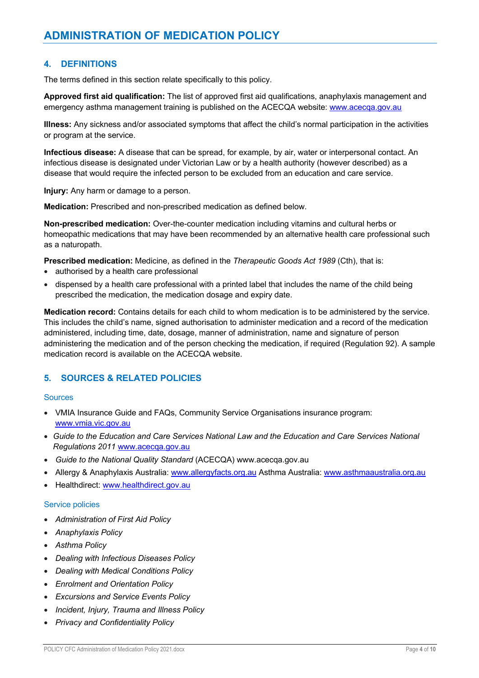#### **4. DEFINITIONS**

The terms defined in this section relate specifically to this policy.

**Approved first aid qualification:** The list of approved first aid qualifications, anaphylaxis management and emergency asthma management training is published on the ACECQA website: www.acecqa.gov.au

**Illness:** Any sickness and/or associated symptoms that affect the child's normal participation in the activities or program at the service.

**Infectious disease:** A disease that can be spread, for example, by air, water or interpersonal contact. An infectious disease is designated under Victorian Law or by a health authority (however described) as a disease that would require the infected person to be excluded from an education and care service.

**Injury:** Any harm or damage to a person.

**Medication:** Prescribed and non-prescribed medication as defined below.

**Non-prescribed medication:** Over-the-counter medication including vitamins and cultural herbs or homeopathic medications that may have been recommended by an alternative health care professional such as a naturopath.

**Prescribed medication:** Medicine, as defined in the *Therapeutic Goods Act 1989* (Cth), that is:

- authorised by a health care professional
- dispensed by a health care professional with a printed label that includes the name of the child being prescribed the medication, the medication dosage and expiry date.

**Medication record:** Contains details for each child to whom medication is to be administered by the service. This includes the child's name, signed authorisation to administer medication and a record of the medication administered, including time, date, dosage, manner of administration, name and signature of person administering the medication and of the person checking the medication, if required (Regulation 92). A sample medication record is available on the ACECQA website.

### **5. SOURCES & RELATED POLICIES**

#### **Sources**

- VMIA Insurance Guide and FAQs, Community Service Organisations insurance program: www.vmia.vic.gov.au
- *Guide to the Education and Care Services National Law and the Education and Care Services National Regulations 2011* www.acecqa.gov.au
- *Guide to the National Quality Standard* (ACECQA) www.acecqa.gov.au
- Allergy & Anaphylaxis Australia: www.allergyfacts.org.au Asthma Australia: www.asthmaaustralia.org.au
- Healthdirect: www.healthdirect.gov.au

#### Service policies

- *Administration of First Aid Policy*
- *Anaphylaxis Policy*
- *Asthma Policy*
- *Dealing with Infectious Diseases Policy*
- *Dealing with Medical Conditions Policy*
- *Enrolment and Orientation Policy*
- *Excursions and Service Events Policy*
- *Incident, Injury, Trauma and Illness Policy*
- *Privacy and Confidentiality Policy*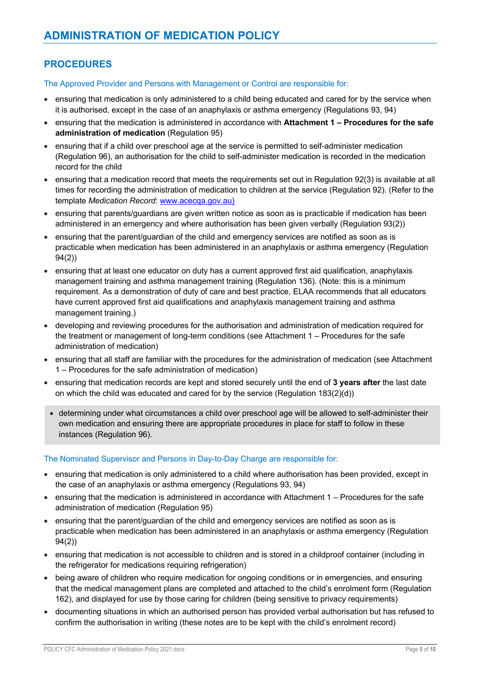# **PROCEDURES**

The Approved Provider and Persons with Management or Control are responsible for:

- ensuring that medication is only administered to a child being educated and cared for by the service when it is authorised, except in the case of an anaphylaxis or asthma emergency (Regulations 93, 94)
- ensuring that the medication is administered in accordance with **Attachment 1 – Procedures for the safe administration of medication** (Regulation 95)
- ensuring that if a child over preschool age at the service is permitted to self-administer medication (Regulation 96), an authorisation for the child to self-administer medication is recorded in the medication record for the child
- ensuring that a medication record that meets the requirements set out in Regulation 92(3) is available at all times for recording the administration of medication to children at the service (Regulation 92). (Refer to the template *Medication Record*: www.acecqa.gov.au)
- ensuring that parents/guardians are given written notice as soon as is practicable if medication has been administered in an emergency and where authorisation has been given verbally (Regulation 93(2))
- ensuring that the parent/guardian of the child and emergency services are notified as soon as is practicable when medication has been administered in an anaphylaxis or asthma emergency (Regulation 94(2))
- ensuring that at least one educator on duty has a current approved first aid qualification, anaphylaxis management training and asthma management training (Regulation 136). (Note: this is a minimum requirement. As a demonstration of duty of care and best practice, ELAA recommends that all educators have current approved first aid qualifications and anaphylaxis management training and asthma management training.)
- developing and reviewing procedures for the authorisation and administration of medication required for the treatment or management of long-term conditions (see Attachment 1 – Procedures for the safe administration of medication)
- ensuring that all staff are familiar with the procedures for the administration of medication (see Attachment 1 – Procedures for the safe administration of medication)
- ensuring that medication records are kept and stored securely until the end of **3 years after** the last date on which the child was educated and cared for by the service (Regulation 183(2)(d))
	- determining under what circumstances a child over preschool age will be allowed to self-administer their own medication and ensuring there are appropriate procedures in place for staff to follow in these instances (Regulation 96).

#### The Nominated Supervisor and Persons in Day-to-Day Charge are responsible for:

- ensuring that medication is only administered to a child where authorisation has been provided, except in the case of an anaphylaxis or asthma emergency (Regulations 93, 94)
- ensuring that the medication is administered in accordance with Attachment 1 Procedures for the safe administration of medication (Regulation 95)
- ensuring that the parent/guardian of the child and emergency services are notified as soon as is practicable when medication has been administered in an anaphylaxis or asthma emergency (Regulation 94(2))
- ensuring that medication is not accessible to children and is stored in a childproof container (including in the refrigerator for medications requiring refrigeration)
- being aware of children who require medication for ongoing conditions or in emergencies, and ensuring that the medical management plans are completed and attached to the child's enrolment form (Regulation 162), and displayed for use by those caring for children (being sensitive to privacy requirements)
- documenting situations in which an authorised person has provided verbal authorisation but has refused to confirm the authorisation in writing (these notes are to be kept with the child's enrolment record)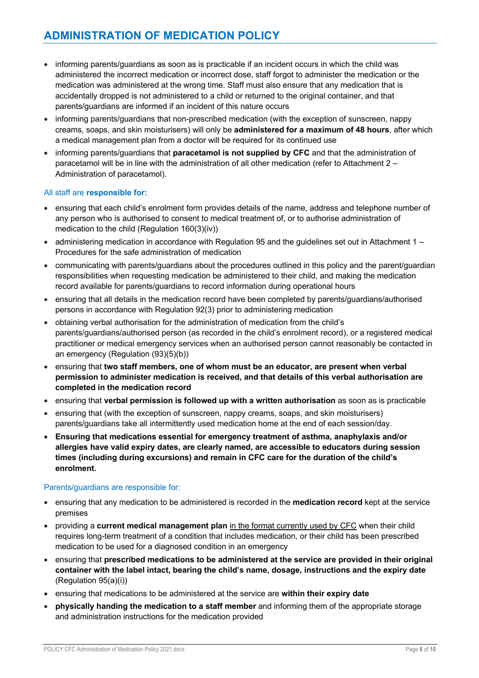- informing parents/guardians as soon as is practicable if an incident occurs in which the child was administered the incorrect medication or incorrect dose, staff forgot to administer the medication or the medication was administered at the wrong time. Staff must also ensure that any medication that is accidentally dropped is not administered to a child or returned to the original container, and that parents/guardians are informed if an incident of this nature occurs
- informing parents/guardians that non-prescribed medication (with the exception of sunscreen, nappy creams, soaps, and skin moisturisers) will only be **administered for a maximum of 48 hours**, after which a medical management plan from a doctor will be required for its continued use
- informing parents/guardians that **paracetamol is not supplied by CFC** and that the administration of paracetamol will be in line with the administration of all other medication (refer to Attachment 2 – Administration of paracetamol).

#### All staff are **responsible for:**

- ensuring that each child's enrolment form provides details of the name, address and telephone number of any person who is authorised to consent to medical treatment of, or to authorise administration of medication to the child (Regulation 160(3)(iv))
- $\bullet$  administering medication in accordance with Regulation 95 and the guidelines set out in Attachment 1 Procedures for the safe administration of medication
- communicating with parents/guardians about the procedures outlined in this policy and the parent/guardian responsibilities when requesting medication be administered to their child, and making the medication record available for parents/guardians to record information during operational hours
- ensuring that all details in the medication record have been completed by parents/guardians/authorised persons in accordance with Regulation 92(3) prior to administering medication
- obtaining verbal authorisation for the administration of medication from the child's parents/guardians/authorised person (as recorded in the child's enrolment record), or a registered medical practitioner or medical emergency services when an authorised person cannot reasonably be contacted in an emergency (Regulation (93)(5)(b))
- ensuring that **two staff members, one of whom must be an educator, are present when verbal permission to administer medication is received, and that details of this verbal authorisation are completed in the medication record**
- ensuring that **verbal permission is followed up with a written authorisation** as soon as is practicable
- ensuring that (with the exception of sunscreen, nappy creams, soaps, and skin moisturisers) parents/guardians take all intermittently used medication home at the end of each session/day.
- **Ensuring that medications essential for emergency treatment of asthma, anaphylaxis and/or allergies have valid expiry dates, are clearly named, are accessible to educators during session times (including during excursions) and remain in CFC care for the duration of the child's enrolment.**

#### Parents/guardians are responsible for:

- ensuring that any medication to be administered is recorded in the **medication record** kept at the service premises
- providing a **current medical management plan** in the format currently used by CFC when their child requires long-term treatment of a condition that includes medication, or their child has been prescribed medication to be used for a diagnosed condition in an emergency
- ensuring that **prescribed medications to be administered at the service are provided in their original container with the label intact, bearing the child's name, dosage, instructions and the expiry date** (Regulation 95(a)(i))
- ensuring that medications to be administered at the service are **within their expiry date**
- **physically handing the medication to a staff member** and informing them of the appropriate storage and administration instructions for the medication provided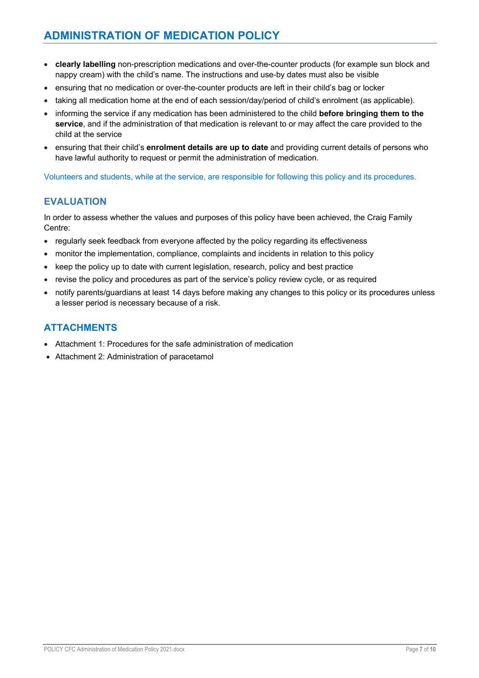- **clearly labelling** non-prescription medications and over-the-counter products (for example sun block and nappy cream) with the child's name. The instructions and use-by dates must also be visible
- ensuring that no medication or over-the-counter products are left in their child's bag or locker
- taking all medication home at the end of each session/day/period of child's enrolment (as applicable).
- informing the service if any medication has been administered to the child **before bringing them to the service**, and if the administration of that medication is relevant to or may affect the care provided to the child at the service
- ensuring that their child's **enrolment details are up to date** and providing current details of persons who have lawful authority to request or permit the administration of medication.

Volunteers and students, while at the service, are responsible for following this policy and its procedures.

## **EVALUATION**

In order to assess whether the values and purposes of this policy have been achieved, the Craig Family Centre:

- regularly seek feedback from everyone affected by the policy regarding its effectiveness
- monitor the implementation, compliance, complaints and incidents in relation to this policy
- keep the policy up to date with current legislation, research, policy and best practice
- revise the policy and procedures as part of the service's policy review cycle, or as required
- notify parents/guardians at least 14 days before making any changes to this policy or its procedures unless a lesser period is necessary because of a risk.

## **ATTACHMENTS**

- Attachment 1: Procedures for the safe administration of medication
- Attachment 2: Administration of paracetamol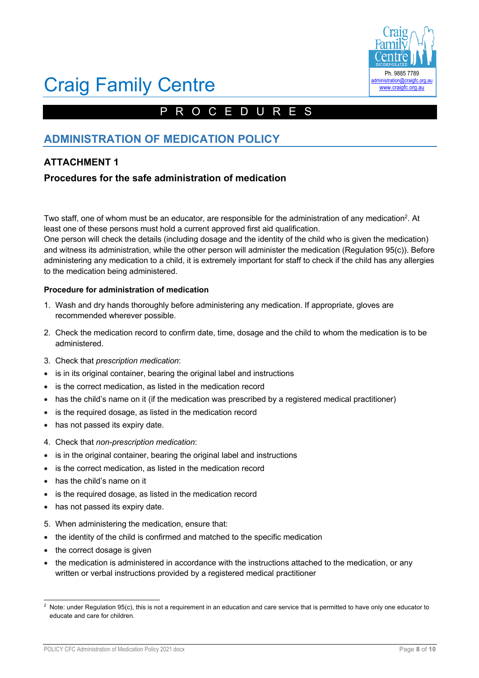

# Craig Family Centre

# PROCEDURES

# **ADMINISTRATION OF MEDICATION POLICY**

# **ATTACHMENT 1**

## **Procedures for the safe administration of medication**

Two staff, one of whom must be an educator, are responsible for the administration of any medication<sup>2</sup>. At least one of these persons must hold a current approved first aid qualification.

One person will check the details (including dosage and the identity of the child who is given the medication) and witness its administration, while the other person will administer the medication (Regulation 95(c)). Before administering any medication to a child, it is extremely important for staff to check if the child has any allergies to the medication being administered.

#### **Procedure for administration of medication**

- 1. Wash and dry hands thoroughly before administering any medication. If appropriate, gloves are recommended wherever possible.
- 2. Check the medication record to confirm date, time, dosage and the child to whom the medication is to be administered.
- 3. Check that *prescription medication*:
- is in its original container, bearing the original label and instructions
- is the correct medication, as listed in the medication record
- has the child's name on it (if the medication was prescribed by a registered medical practitioner)
- is the required dosage, as listed in the medication record
- has not passed its expiry date.
- 4. Check that *non-prescription medication*:
- is in the original container, bearing the original label and instructions
- is the correct medication, as listed in the medication record
- has the child's name on it
- is the required dosage, as listed in the medication record
- has not passed its expiry date.
- 5. When administering the medication, ensure that:
- the identity of the child is confirmed and matched to the specific medication
- the correct dosage is given
- the medication is administered in accordance with the instructions attached to the medication, or any written or verbal instructions provided by a registered medical practitioner

 $2$  Note: under Regulation 95(c), this is not a requirement in an education and care service that is permitted to have only one educator to educate and care for children.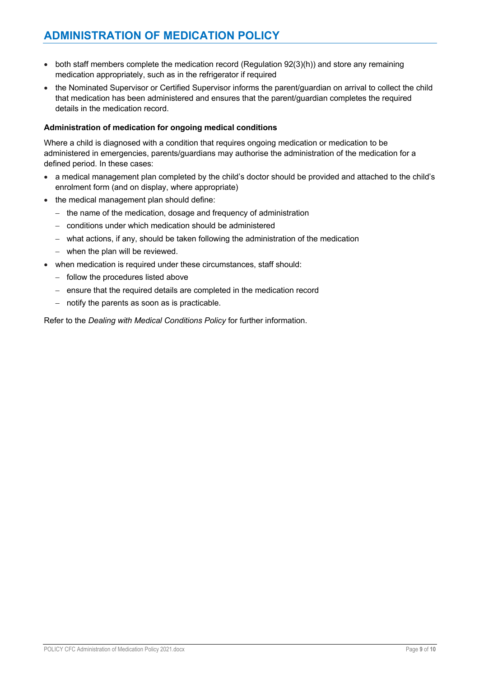- both staff members complete the medication record (Regulation 92(3)(h)) and store any remaining medication appropriately, such as in the refrigerator if required
- the Nominated Supervisor or Certified Supervisor informs the parent/guardian on arrival to collect the child that medication has been administered and ensures that the parent/guardian completes the required details in the medication record.

#### **Administration of medication for ongoing medical conditions**

Where a child is diagnosed with a condition that requires ongoing medication or medication to be administered in emergencies, parents/guardians may authorise the administration of the medication for a defined period. In these cases:

- a medical management plan completed by the child's doctor should be provided and attached to the child's enrolment form (and on display, where appropriate)
- the medical management plan should define:
	- the name of the medication, dosage and frequency of administration
	- conditions under which medication should be administered
	- what actions, if any, should be taken following the administration of the medication
	- when the plan will be reviewed.
- when medication is required under these circumstances, staff should:
	- follow the procedures listed above
	- ensure that the required details are completed in the medication record
	- notify the parents as soon as is practicable.

Refer to the *Dealing with Medical Conditions Policy* for further information.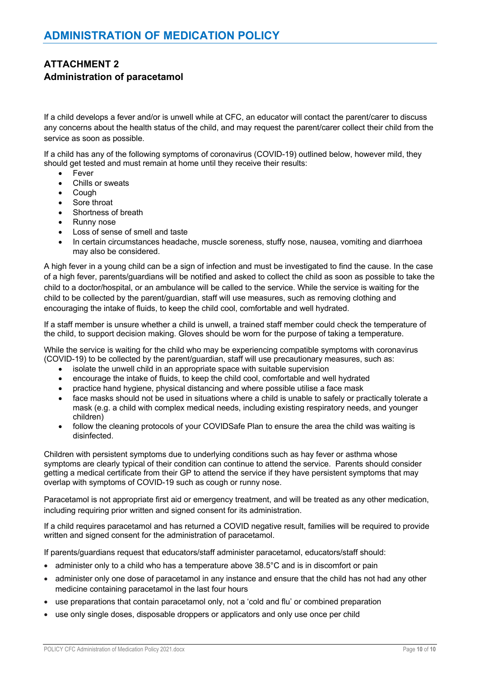# **ATTACHMENT 2 Administration of paracetamol**

If a child develops a fever and/or is unwell while at CFC, an educator will contact the parent/carer to discuss any concerns about the health status of the child, and may request the parent/carer collect their child from the service as soon as possible.

If a child has any of the following symptoms of coronavirus (COVID-19) outlined below, however mild, they should get tested and must remain at home until they receive their results:

- **Fever**
- Chills or sweats
- Cough
- Sore throat
- Shortness of breath
- Runny nose
- Loss of sense of smell and taste
- In certain circumstances headache, muscle soreness, stuffy nose, nausea, vomiting and diarrhoea may also be considered.

A high fever in a young child can be a sign of infection and must be investigated to find the cause. In the case of a high fever, parents/guardians will be notified and asked to collect the child as soon as possible to take the child to a doctor/hospital, or an ambulance will be called to the service. While the service is waiting for the child to be collected by the parent/guardian, staff will use measures, such as removing clothing and encouraging the intake of fluids, to keep the child cool, comfortable and well hydrated.

If a staff member is unsure whether a child is unwell, a trained staff member could check the temperature of the child, to support decision making. Gloves should be worn for the purpose of taking a temperature.

While the service is waiting for the child who may be experiencing compatible symptoms with coronavirus (COVID-19) to be collected by the parent/guardian, staff will use precautionary measures, such as:

- isolate the unwell child in an appropriate space with suitable supervision
- encourage the intake of fluids, to keep the child cool, comfortable and well hydrated
- practice hand hygiene, physical distancing and where possible utilise a face mask
- face masks should not be used in situations where a child is unable to safely or practically tolerate a mask (e.g. a child with complex medical needs, including existing respiratory needs, and younger children)
- follow the cleaning protocols of your COVIDSafe Plan to ensure the area the child was waiting is disinfected.

Children with persistent symptoms due to underlying conditions such as hay fever or asthma whose symptoms are clearly typical of their condition can continue to attend the service. Parents should consider getting a medical certificate from their GP to attend the service if they have persistent symptoms that may overlap with symptoms of COVID-19 such as cough or runny nose.

Paracetamol is not appropriate first aid or emergency treatment, and will be treated as any other medication, including requiring prior written and signed consent for its administration.

If a child requires paracetamol and has returned a COVID negative result, families will be required to provide written and signed consent for the administration of paracetamol.

If parents/guardians request that educators/staff administer paracetamol, educators/staff should:

- administer only to a child who has a temperature above 38.5°C and is in discomfort or pain
- administer only one dose of paracetamol in any instance and ensure that the child has not had any other medicine containing paracetamol in the last four hours
- use preparations that contain paracetamol only, not a 'cold and flu' or combined preparation
- use only single doses, disposable droppers or applicators and only use once per child